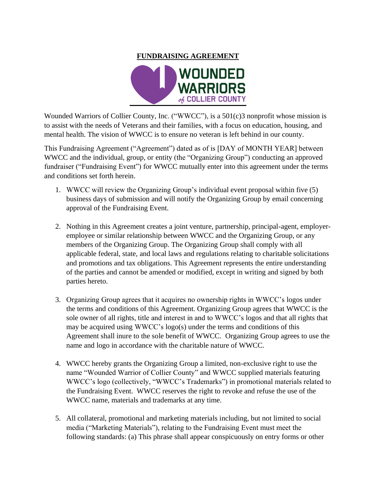

Wounded Warriors of Collier County, Inc. ("WWCC"), is a 501(c)3 nonprofit whose mission is to assist with the needs of Veterans and their families, with a focus on education, housing, and mental health. The vision of WWCC is to ensure no veteran is left behind in our county.

This Fundraising Agreement ("Agreement") dated as of is [DAY of MONTH YEAR] between WWCC and the individual, group, or entity (the "Organizing Group") conducting an approved fundraiser ("Fundraising Event") for WWCC mutually enter into this agreement under the terms and conditions set forth herein.

- 1. WWCC will review the Organizing Group's individual event proposal within five (5) business days of submission and will notify the Organizing Group by email concerning approval of the Fundraising Event.
- 2. Nothing in this Agreement creates a joint venture, partnership, principal-agent, employeremployee or similar relationship between WWCC and the Organizing Group, or any members of the Organizing Group. The Organizing Group shall comply with all applicable federal, state, and local laws and regulations relating to charitable solicitations and promotions and tax obligations. This Agreement represents the entire understanding of the parties and cannot be amended or modified, except in writing and signed by both parties hereto.
- 3. Organizing Group agrees that it acquires no ownership rights in WWCC's logos under the terms and conditions of this Agreement. Organizing Group agrees that WWCC is the sole owner of all rights, title and interest in and to WWCC's logos and that all rights that may be acquired using WWCC's logo(s) under the terms and conditions of this Agreement shall inure to the sole benefit of WWCC. Organizing Group agrees to use the name and logo in accordance with the charitable nature of WWCC.
- 4. WWCC hereby grants the Organizing Group a limited, non-exclusive right to use the name "Wounded Warrior of Collier County" and WWCC supplied materials featuring WWCC's logo (collectively, "WWCC's Trademarks") in promotional materials related to the Fundraising Event. WWCC reserves the right to revoke and refuse the use of the WWCC name, materials and trademarks at any time.
- 5. All collateral, promotional and marketing materials including, but not limited to social media ("Marketing Materials"), relating to the Fundraising Event must meet the following standards: (a) This phrase shall appear conspicuously on entry forms or other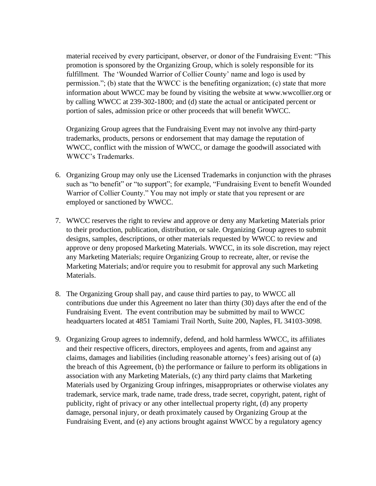material received by every participant, observer, or donor of the Fundraising Event: "This promotion is sponsored by the Organizing Group, which is solely responsible for its fulfillment. The 'Wounded Warrior of Collier County' name and logo is used by permission."; (b) state that the WWCC is the benefiting organization; (c) state that more information about WWCC may be found by visiting the website at www.wwcollier.org or by calling WWCC at 239-302-1800; and (d) state the actual or anticipated percent or portion of sales, admission price or other proceeds that will benefit WWCC.

Organizing Group agrees that the Fundraising Event may not involve any third-party trademarks, products, persons or endorsement that may damage the reputation of WWCC, conflict with the mission of WWCC, or damage the goodwill associated with WWCC's Trademarks.

- 6. Organizing Group may only use the Licensed Trademarks in conjunction with the phrases such as "to benefit" or "to support"; for example, "Fundraising Event to benefit Wounded Warrior of Collier County." You may not imply or state that you represent or are employed or sanctioned by WWCC.
- 7. WWCC reserves the right to review and approve or deny any Marketing Materials prior to their production, publication, distribution, or sale. Organizing Group agrees to submit designs, samples, descriptions, or other materials requested by WWCC to review and approve or deny proposed Marketing Materials. WWCC, in its sole discretion, may reject any Marketing Materials; require Organizing Group to recreate, alter, or revise the Marketing Materials; and/or require you to resubmit for approval any such Marketing Materials.
- 8. The Organizing Group shall pay, and cause third parties to pay, to WWCC all contributions due under this Agreement no later than thirty (30) days after the end of the Fundraising Event. The event contribution may be submitted by mail to WWCC headquarters located at 4851 Tamiami Trail North, Suite 200, Naples, FL 34103-3098.
- 9. Organizing Group agrees to indemnify, defend, and hold harmless WWCC, its affiliates and their respective officers, directors, employees and agents, from and against any claims, damages and liabilities (including reasonable attorney's fees) arising out of (a) the breach of this Agreement, (b) the performance or failure to perform its obligations in association with any Marketing Materials, (c) any third party claims that Marketing Materials used by Organizing Group infringes, misappropriates or otherwise violates any trademark, service mark, trade name, trade dress, trade secret, copyright, patent, right of publicity, right of privacy or any other intellectual property right, (d) any property damage, personal injury, or death proximately caused by Organizing Group at the Fundraising Event, and (e) any actions brought against WWCC by a regulatory agency